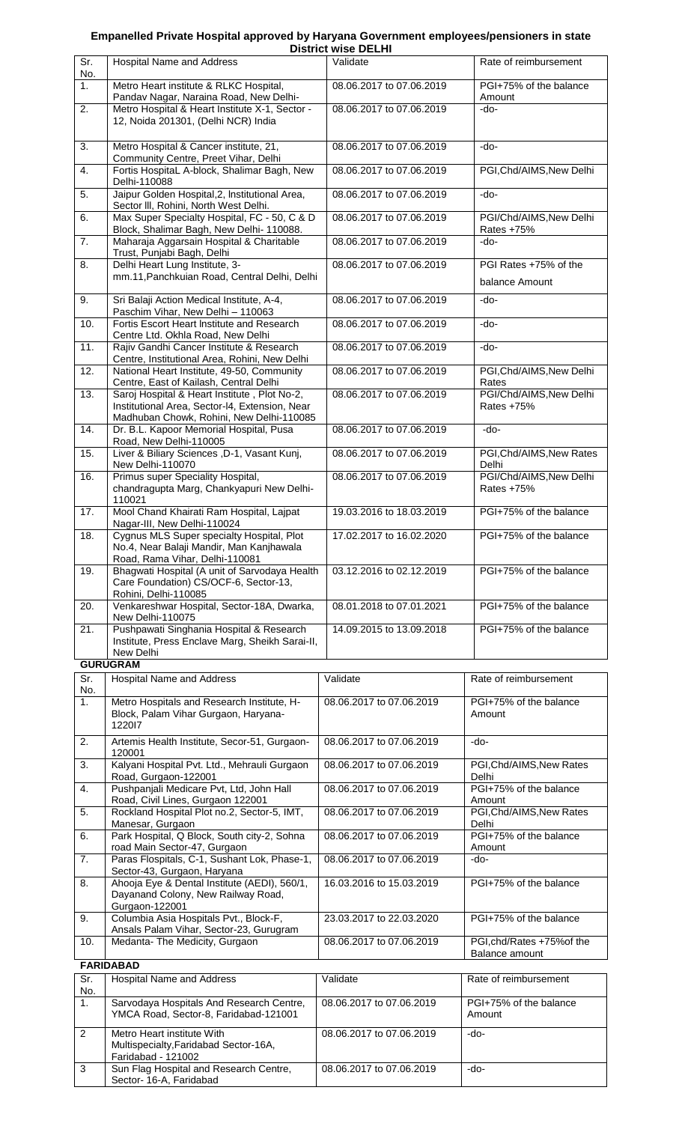## **Empanelled Private Hospital approved by Haryana Government employees/pensioners in state**

|                                |                                                                                                                                            | <b>District wise DELHI</b> |                                              |
|--------------------------------|--------------------------------------------------------------------------------------------------------------------------------------------|----------------------------|----------------------------------------------|
| Sr.<br>No.                     | Hospital Name and Address                                                                                                                  | Validate                   | Rate of reimbursement                        |
| 1.                             | Metro Heart institute & RLKC Hospital,<br>Pandav Nagar, Naraina Road, New Delhi-                                                           | 08.06.2017 to 07.06.2019   | PGI+75% of the balance<br>Amount             |
| 2.                             | Metro Hospital & Heart Institute X-1, Sector -<br>12, Noida 201301, (Delhi NCR) India                                                      | 08.06.2017 to 07.06.2019   | $-do-$                                       |
| 3.                             | Metro Hospital & Cancer institute, 21,                                                                                                     | 08.06.2017 to 07.06.2019   | $-do-$                                       |
| 4.                             | Community Centre, Preet Vihar, Delhi<br>Fortis HospitaL A-block, Shalimar Bagh, New<br>Delhi-110088                                        | 08.06.2017 to 07.06.2019   | PGI, Chd/AIMS, New Delhi                     |
| 5.                             | Jaipur Golden Hospital, 2, Institutional Area,<br>Sector III, Rohini, North West Delhi.                                                    | 08.06.2017 to 07.06.2019   | -do-                                         |
| 6.                             | Max Super Specialty Hospital, FC - 50, C & D<br>Block, Shalimar Bagh, New Delhi-110088.                                                    | 08.06.2017 to 07.06.2019   | PGI/Chd/AIMS, New Delhi<br>Rates +75%        |
| 7.                             | Maharaja Aggarsain Hospital & Charitable<br>Trust, Punjabi Bagh, Delhi                                                                     | 08.06.2017 to 07.06.2019   | -do-                                         |
| 8.                             | Delhi Heart Lung Institute, 3-<br>mm.11, Panchkuian Road, Central Delhi, Delhi                                                             | 08.06.2017 to 07.06.2019   | PGI Rates +75% of the<br>balance Amount      |
| 9.                             | Sri Balaji Action Medical Institute, A-4,<br>Paschim Vihar, New Delhi - 110063                                                             | 08.06.2017 to 07.06.2019   | -do-                                         |
| 10.                            | Fortis Escort Heart Institute and Research<br>Centre Ltd. Okhla Road, New Delhi                                                            | 08.06.2017 to 07.06.2019   | -do-                                         |
| 11.                            | Rajiv Gandhi Cancer Institute & Research<br>Centre, Institutional Area, Rohini, New Delhi                                                  | 08.06.2017 to 07.06.2019   | $-do-$                                       |
| 12.                            | National Heart Institute, 49-50, Community<br>Centre, East of Kailash, Central Delhi                                                       | 08.06.2017 to 07.06.2019   | PGI, Chd/AIMS, New Delhi<br>Rates            |
| 13.                            | Saroj Hospital & Heart Institute, Plot No-2,<br>Institutional Area, Sector-I4, Extension, Near<br>Madhuban Chowk, Rohini, New Delhi-110085 | 08.06.2017 to 07.06.2019   | PGI/Chd/AIMS, New Delhi<br>Rates +75%        |
| 14.                            | Dr. B.L. Kapoor Memorial Hospital, Pusa<br>Road, New Delhi-110005                                                                          | 08.06.2017 to 07.06.2019   | $-do-$                                       |
| 15.                            | Liver & Biliary Sciences , D-1, Vasant Kunj,<br>New Delhi-110070                                                                           | 08.06.2017 to 07.06.2019   | PGI, Chd/AIMS, New Rates<br>Delhi            |
| 16.                            | Primus super Speciality Hospital,<br>chandragupta Marg, Chankyapuri New Delhi-<br>110021                                                   | 08.06.2017 to 07.06.2019   | PGI/Chd/AIMS, New Delhi<br>Rates +75%        |
| 17.                            | Mool Chand Khairati Ram Hospital, Lajpat<br>Nagar-III, New Delhi-110024                                                                    | 19.03.2016 to 18.03.2019   | PGI+75% of the balance                       |
| 18.                            | Cygnus MLS Super specialty Hospital, Plot<br>No.4, Near Balaji Mandir, Man Kanjhawala<br>Road, Rama Vihar, Delhi-110081                    | 17.02.2017 to 16.02.2020   | PGI+75% of the balance                       |
| 19.                            | Bhagwati Hospital (A unit of Sarvodaya Health<br>Care Foundation) CS/OCF-6, Sector-13,<br>Rohini, Delhi-110085                             | 03.12.2016 to 02.12.2019   | PGI+75% of the balance                       |
| 20.                            | Venkareshwar Hospital, Sector-18A, Dwarka,<br>New Delhi-110075                                                                             | 08.01.2018 to 07.01.2021   | PGI+75% of the balance                       |
| 21.                            | Pushpawati Singhania Hospital & Research<br>Institute, Press Enclave Marg, Sheikh Sarai-II,<br>New Delhi                                   | 14.09.2015 to 13.09.2018   | PGI+75% of the balance                       |
|                                | <b>GURUGRAM</b>                                                                                                                            |                            |                                              |
| Sr.<br>No.                     | Hospital Name and Address                                                                                                                  | Validate                   | Rate of reimbursement                        |
| 1.                             | Metro Hospitals and Research Institute, H-<br>Block, Palam Vihar Gurgaon, Haryana-<br>122017                                               | 08.06.2017 to 07.06.2019   | PGI+75% of the balance<br>Amount             |
| 2.                             | Artemis Health Institute, Secor-51, Gurgaon-<br>120001                                                                                     | 08.06.2017 to 07.06.2019   | -do-                                         |
| 3.                             | Kalyani Hospital Pvt. Ltd., Mehrauli Gurgaon<br>Road, Gurgaon-122001                                                                       | 08.06.2017 to 07.06.2019   | PGI, Chd/AIMS, New Rates<br>Delhi            |
| 4.                             | Pushpanjali Medicare Pvt, Ltd, John Hall<br>Road, Civil Lines, Gurgaon 122001                                                              | 08.06.2017 to 07.06.2019   | PGI+75% of the balance<br>Amount             |
| 5.                             | Rockland Hospital Plot no.2, Sector-5, IMT,<br>Manesar, Gurgaon                                                                            | 08.06.2017 to 07.06.2019   | PGI, Chd/AIMS, New Rates<br>Delhi            |
| 6.                             | Park Hospital, Q Block, South city-2, Sohna<br>road Main Sector-47, Gurgaon                                                                | 08.06.2017 to 07.06.2019   | PGI+75% of the balance<br>Amount             |
| 7.                             | Paras Flospitals, C-1, Sushant Lok, Phase-1,<br>Sector-43, Gurgaon, Haryana                                                                | 08.06.2017 to 07.06.2019   | -do-                                         |
| 8.                             | Ahooja Eye & Dental Institute (AEDI), 560/1,<br>Dayanand Colony, New Railway Road,<br>Gurgaon-122001                                       | 16.03.2016 to 15.03.2019   | PGI+75% of the balance                       |
| 9.                             | Columbia Asia Hospitals Pvt., Block-F,<br>Ansals Palam Vihar, Sector-23, Gurugram                                                          | 23.03.2017 to 22.03.2020   | PGI+75% of the balance                       |
| 10.                            | Medanta- The Medicity, Gurgaon                                                                                                             | 08.06.2017 to 07.06.2019   | PGI, chd/Rates +75% of the<br>Balance amount |
|                                | <b>FARIDABAD</b>                                                                                                                           |                            |                                              |
| $\overline{\text{Sr.}}$<br>No. | <b>Hospital Name and Address</b>                                                                                                           | Validate                   | Rate of reimbursement                        |
| $\mathbf{1}$ .                 | Sarvodaya Hospitals And Research Centre,<br>YMCA Road, Sector-8, Faridabad-121001                                                          | 08.06.2017 to 07.06.2019   | PGI+75% of the balance<br>Amount             |
| $\overline{c}$                 | Metro Heart institute With<br>Multispecialty, Faridabad Sector-16A,<br>Faridabad - 121002                                                  | 08.06.2017 to 07.06.2019   | -do-                                         |
| 3                              | Sun Flag Hospital and Research Centre,<br>Sector- 16-A, Faridabad                                                                          | 08.06.2017 to 07.06.2019   | -do-                                         |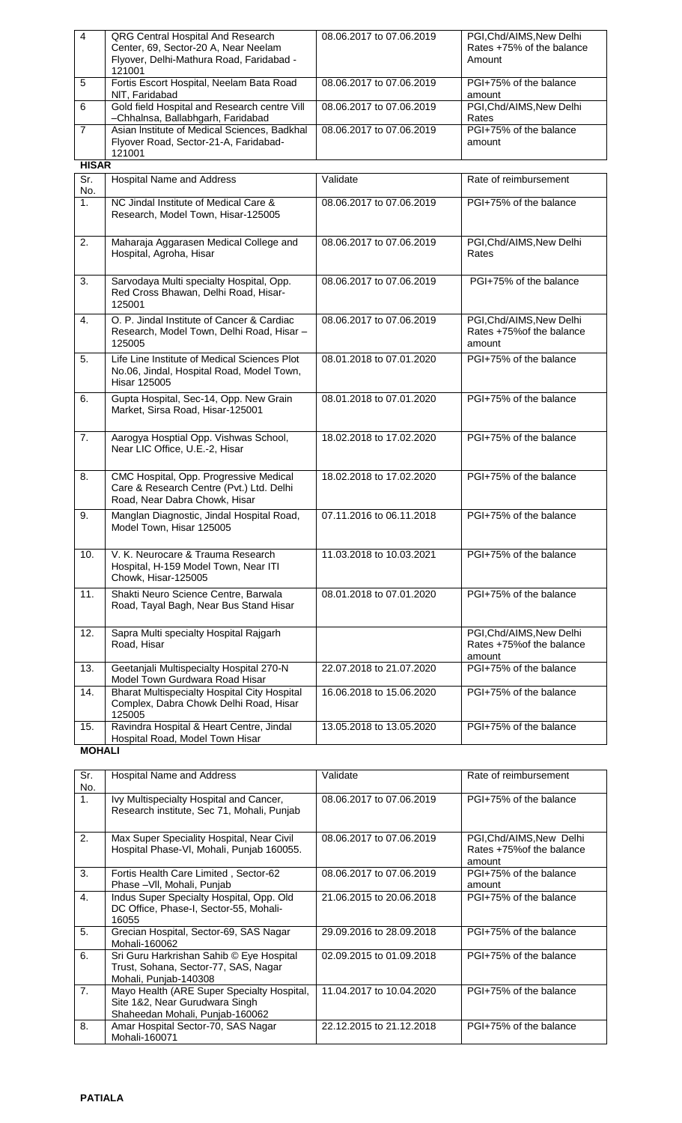| $\overline{4}$ | <b>QRG Central Hospital And Research</b><br>Center, 69, Sector-20 A, Near Neelam<br>Flyover, Delhi-Mathura Road, Faridabad -<br>121001 | 08.06.2017 to 07.06.2019 | PGI, Chd/AIMS, New Delhi<br>Rates +75% of the balance<br>Amount |
|----------------|----------------------------------------------------------------------------------------------------------------------------------------|--------------------------|-----------------------------------------------------------------|
| 5              | Fortis Escort Hospital, Neelam Bata Road<br>NIT, Faridabad                                                                             | 08.06.2017 to 07.06.2019 | PGI+75% of the balance<br>amount                                |
| 6              | Gold field Hospital and Research centre Vill<br>-Chhalnsa, Ballabhgarh, Faridabad                                                      | 08.06.2017 to 07.06.2019 | PGI, Chd/AIMS, New Delhi<br>Rates                               |
| $\overline{7}$ | Asian Institute of Medical Sciences, Badkhal<br>Flyover Road, Sector-21-A, Faridabad-<br>121001                                        | 08.06.2017 to 07.06.2019 | PGI+75% of the balance<br>amount                                |
| <b>HISAR</b>   |                                                                                                                                        |                          |                                                                 |
| Sr.<br>No.     | <b>Hospital Name and Address</b>                                                                                                       | Validate                 | Rate of reimbursement                                           |
| 1.             | NC Jindal Institute of Medical Care &<br>Research, Model Town, Hisar-125005                                                            | 08.06.2017 to 07.06.2019 | PGI+75% of the balance                                          |
| 2.             | Maharaja Aggarasen Medical College and<br>Hospital, Agroha, Hisar                                                                      | 08.06.2017 to 07.06.2019 | PGI, Chd/AIMS, New Delhi<br>Rates                               |
| 3.             | Sarvodaya Multi specialty Hospital, Opp.<br>Red Cross Bhawan, Delhi Road, Hisar-<br>125001                                             | 08.06.2017 to 07.06.2019 | PGI+75% of the balance                                          |
| 4.             | O. P. Jindal Institute of Cancer & Cardiac<br>Research, Model Town, Delhi Road, Hisar -<br>125005                                      | 08.06.2017 to 07.06.2019 | PGI, Chd/AIMS, New Delhi<br>Rates +75% of the balance<br>amount |
| 5.             | Life Line Institute of Medical Sciences Plot<br>No.06, Jindal, Hospital Road, Model Town,<br><b>Hisar 125005</b>                       | 08.01.2018 to 07.01.2020 | PGI+75% of the balance                                          |
| 6.             | Gupta Hospital, Sec-14, Opp. New Grain<br>Market, Sirsa Road, Hisar-125001                                                             | 08.01.2018 to 07.01.2020 | PGI+75% of the balance                                          |
| 7.             | Aarogya Hosptial Opp. Vishwas School,<br>Near LIC Office, U.E.-2, Hisar                                                                | 18.02.2018 to 17.02.2020 | PGI+75% of the balance                                          |
| 8.             | CMC Hospital, Opp. Progressive Medical<br>Care & Research Centre (Pvt.) Ltd. Delhi<br>Road, Near Dabra Chowk, Hisar                    | 18.02.2018 to 17.02.2020 | PGI+75% of the balance                                          |
| 9.             | Manglan Diagnostic, Jindal Hospital Road,<br>Model Town, Hisar 125005                                                                  | 07.11.2016 to 06.11.2018 | PGI+75% of the balance                                          |
| 10.            | V. K. Neurocare & Trauma Research<br>Hospital, H-159 Model Town, Near ITI<br>Chowk, Hisar-125005                                       | 11.03.2018 to 10.03.2021 | PGI+75% of the balance                                          |
| 11.            | Shakti Neuro Science Centre, Barwala<br>Road, Tayal Bagh, Near Bus Stand Hisar                                                         | 08.01.2018 to 07.01.2020 | PGI+75% of the balance                                          |
| 12.            | Sapra Multi specialty Hospital Rajgarh<br>Road, Hisar                                                                                  |                          | PGI, Chd/AIMS, New Delhi<br>Rates +75% of the balance<br>amount |
| 13.            | Geetanjali Multispecialty Hospital 270-N<br>Model Town Gurdwara Road Hisar                                                             | 22.07.2018 to 21.07.2020 | PGI+75% of the balance                                          |
| 14.            | <b>Bharat Multispecialty Hospital City Hospital</b><br>Complex, Dabra Chowk Delhi Road, Hisar<br>125005                                | 16.06.2018 to 15.06.2020 | PGI+75% of the balance                                          |
| 15.            | Ravindra Hospital & Heart Centre, Jindal<br>Hospital Road, Model Town Hisar                                                            | 13.05.2018 to 13.05.2020 | PGI+75% of the balance                                          |
| <b>MOHALI</b>  |                                                                                                                                        |                          |                                                                 |

| Sr.                   | <b>Hospital Name and Address</b>                                                                                | Validate                 | Rate of reimbursement                                           |
|-----------------------|-----------------------------------------------------------------------------------------------------------------|--------------------------|-----------------------------------------------------------------|
| No.<br>$\mathbf{1}$ . | Ivy Multispecialty Hospital and Cancer,<br>Research institute, Sec 71, Mohali, Punjab                           | 08.06.2017 to 07.06.2019 | PGI+75% of the balance                                          |
| 2.                    | Max Super Speciality Hospital, Near Civil<br>Hospital Phase-VI, Mohali, Punjab 160055.                          | 08.06.2017 to 07.06.2019 | PGI, Chd/AIMS, New Delhi<br>Rates +75% of the balance<br>amount |
| 3.                    | Fortis Health Care Limited, Sector-62<br>Phase - VII, Mohali, Punjab                                            | 08.06.2017 to 07.06.2019 | PGI+75% of the balance<br>amount                                |
| $\overline{4}$ .      | Indus Super Specialty Hospital, Opp. Old<br>DC Office, Phase-I, Sector-55, Mohali-<br>16055                     | 21.06.2015 to 20.06.2018 | PGI+75% of the balance                                          |
| 5.                    | Grecian Hospital, Sector-69, SAS Nagar<br>Mohali-160062                                                         | 29.09.2016 to 28.09.2018 | PGI+75% of the balance                                          |
| 6.                    | Sri Guru Harkrishan Sahib © Eye Hospital<br>Trust, Sohana, Sector-77, SAS, Nagar<br>Mohali, Punjab-140308       | 02.09.2015 to 01.09.2018 | PGI+75% of the balance                                          |
| 7 <sub>1</sub>        | Mayo Health (ARE Super Specialty Hospital,<br>Site 1&2, Near Gurudwara Singh<br>Shaheedan Mohali, Punjab-160062 | 11.04.2017 to 10.04.2020 | PGI+75% of the balance                                          |
| 8.                    | Amar Hospital Sector-70, SAS Nagar<br>Mohali-160071                                                             | 22.12.2015 to 21.12.2018 | PGI+75% of the balance                                          |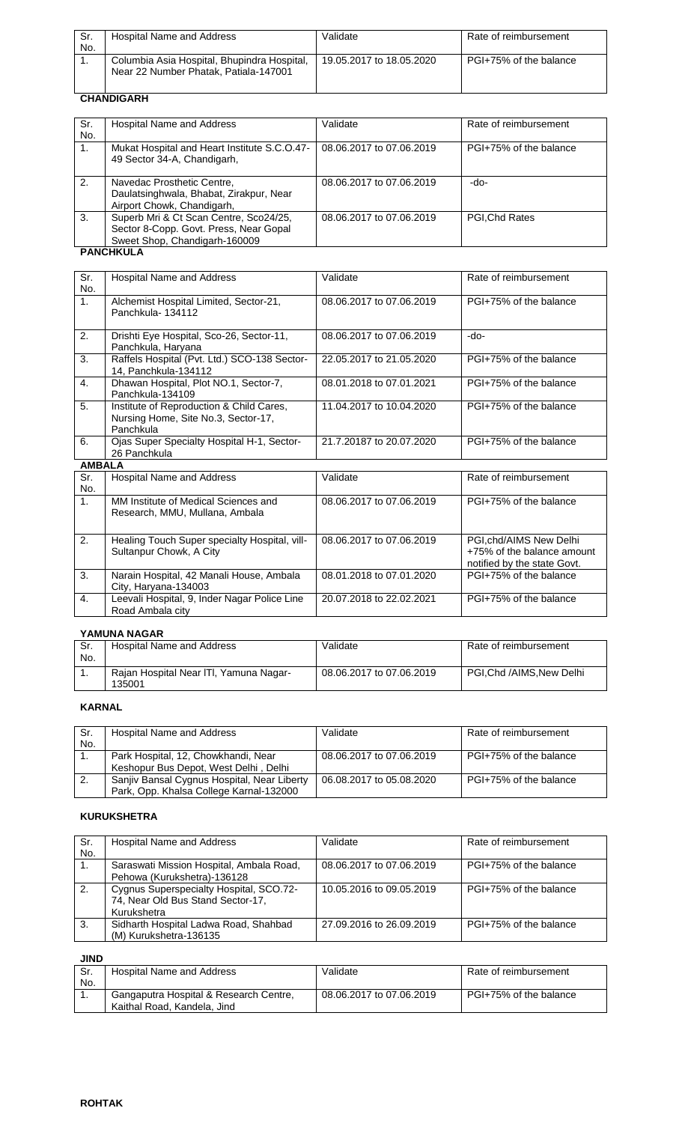| Sr.<br>No. | Hospital Name and Address                                                            | Validate                 | Rate of reimbursement  |
|------------|--------------------------------------------------------------------------------------|--------------------------|------------------------|
|            | Columbia Asia Hospital, Bhupindra Hospital,<br>Near 22 Number Phatak, Patiala-147001 | 19.05.2017 to 18.05.2020 | PGI+75% of the balance |

# **CHANDIGARH**

| Sr.<br>No.     | Hospital Name and Address                                                                                         | Validate                 | Rate of reimbursement  |  |  |
|----------------|-------------------------------------------------------------------------------------------------------------------|--------------------------|------------------------|--|--|
| $\mathbf{1}$ . | Mukat Hospital and Heart Institute S.C.O.47-<br>49 Sector 34-A, Chandigarh,                                       | 08.06.2017 to 07.06.2019 | PGI+75% of the balance |  |  |
| 2.             | Navedac Prosthetic Centre,<br>Daulatsinghwala, Bhabat, Zirakpur, Near<br>Airport Chowk, Chandigarh,               | 08.06.2017 to 07.06.2019 | -do-                   |  |  |
| 3.             | Superb Mri & Ct Scan Centre, Sco24/25,<br>Sector 8-Copp. Govt. Press, Near Gopal<br>Sweet Shop, Chandigarh-160009 | 08.06.2017 to 07.06.2019 | PGI, Chd Rates         |  |  |
|                | <b>PANCHKULA</b>                                                                                                  |                          |                        |  |  |

| Sr.              | <b>Hospital Name and Address</b>                                                             | Validate                 | Rate of reimbursement                                                                |
|------------------|----------------------------------------------------------------------------------------------|--------------------------|--------------------------------------------------------------------------------------|
| No.              |                                                                                              |                          |                                                                                      |
| 1.               | Alchemist Hospital Limited, Sector-21,<br>Panchkula-134112                                   | 08.06.2017 to 07.06.2019 | PGI+75% of the balance                                                               |
| 2.               | Drishti Eye Hospital, Sco-26, Sector-11,<br>Panchkula, Haryana                               | 08.06.2017 to 07.06.2019 | -do-                                                                                 |
| 3.               | Raffels Hospital (Pvt. Ltd.) SCO-138 Sector-<br>14, Panchkula-134112                         | 22.05.2017 to 21.05.2020 | PGI+75% of the balance                                                               |
| $\overline{4}$ . | Dhawan Hospital, Plot NO.1, Sector-7,<br>Panchkula-134109                                    | 08.01.2018 to 07.01.2021 | PGI+75% of the balance                                                               |
| 5.               | Institute of Reproduction & Child Cares,<br>Nursing Home, Site No.3, Sector-17,<br>Panchkula | 11.04.2017 to 10.04.2020 | PGI+75% of the balance                                                               |
| 6.               | Ojas Super Specialty Hospital H-1, Sector-<br>26 Panchkula                                   | 21.7.20187 to 20.07.2020 | PGI+75% of the balance                                                               |
| <b>AMBALA</b>    |                                                                                              |                          |                                                                                      |
| Sr.<br>No.       | <b>Hospital Name and Address</b>                                                             | Validate                 | Rate of reimbursement                                                                |
| 1 <sub>1</sub>   | MM Institute of Medical Sciences and<br>Research, MMU, Mullana, Ambala                       | 08.06.2017 to 07.06.2019 | PGI+75% of the balance                                                               |
| 2.               | Healing Touch Super specialty Hospital, vill-<br>Sultanpur Chowk, A City                     | 08.06.2017 to 07.06.2019 | PGI, chd/AIMS New Delhi<br>+75% of the balance amount<br>notified by the state Govt. |
| 3.               | Narain Hospital, 42 Manali House, Ambala<br>City, Haryana-134003                             | 08.01.2018 to 07.01.2020 | PGI+75% of the balance                                                               |
| 4.               | Leevali Hospital, 9, Inder Nagar Police Line<br>Road Ambala city                             | 20.07.2018 to 22.02.2021 | PGI+75% of the balance                                                               |

#### **YAMUNA NAGAR**

| Sr. | Hospital Name and Address                        | Validate                 | Rate of reimbursement   |  |
|-----|--------------------------------------------------|--------------------------|-------------------------|--|
| No. |                                                  |                          |                         |  |
|     | Rajan Hospital Near ITI, Yamuna Nagar-<br>135001 | 08.06.2017 to 07.06.2019 | PGI.Chd /AIMS.New Delhi |  |
|     |                                                  |                          |                         |  |

## **KARNAL**

| Sr.<br>No. | Hospital Name and Address                   | Validate                 | Rate of reimbursement  |
|------------|---------------------------------------------|--------------------------|------------------------|
|            | Park Hospital, 12, Chowkhandi, Near         | 08.06.2017 to 07.06.2019 | PGI+75% of the balance |
|            | Keshopur Bus Depot, West Delhi, Delhi       |                          |                        |
| -2.        | Sanjiv Bansal Cygnus Hospital, Near Liberty | 06.08.2017 to 05.08.2020 | PGI+75% of the balance |
|            | Park, Opp. Khalsa College Karnal-132000     |                          |                        |

#### **KURUKSHETRA**

| Sr.<br>No. | Hospital Name and Address                                                                   | Validate                 | Rate of reimbursement  |
|------------|---------------------------------------------------------------------------------------------|--------------------------|------------------------|
|            | Saraswati Mission Hospital, Ambala Road,<br>Pehowa (Kurukshetra)-136128                     | 08.06.2017 to 07.06.2019 | PGI+75% of the balance |
| 2.         | Cygnus Superspecialty Hospital, SCO.72-<br>74, Near Old Bus Stand Sector-17,<br>Kurukshetra | 10.05.2016 to 09.05.2019 | PGI+75% of the balance |
| 3.         | Sidharth Hospital Ladwa Road, Shahbad<br>(M) Kurukshetra-136135                             | 27.09.2016 to 26.09.2019 | PGI+75% of the balance |

| JIND       |                                                                       |                          |                        |
|------------|-----------------------------------------------------------------------|--------------------------|------------------------|
| Sr.<br>No. | Hospital Name and Address                                             | Validate                 | Rate of reimbursement  |
|            | Gangaputra Hospital & Research Centre,<br>Kaithal Road, Kandela, Jind | 08.06.2017 to 07.06.2019 | PGI+75% of the balance |